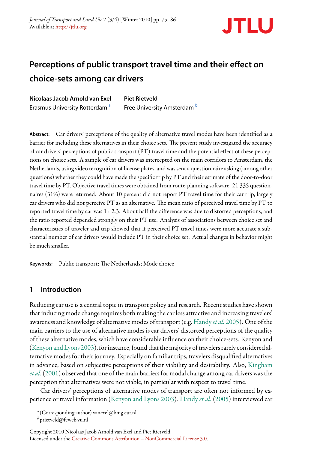*Journal of Transport and Land Use* 2 (3/4) [Winter 2010] pp. 75–86 Available at http://jtlu.org



# **Perceptions of public transport travel time and their effect on choice-sets among car drivers**

**Nicolaas Jacob Arnold van Exel** Erasmus University Rotterdam<sup>a</sup> **Piet Rietveld** Free University Amsterdam<sup>b</sup>

**Abstract:** Car drivers' perceptions of the quality of alternative travel modes have been identiđed as a barrier for including these alternatives in their choice sets. The present study investigated the accuracy of car drivers' perceptions of public transport (PT) travel time and the potential effect of these perceptions on choice sets. A sample of car drivers was intercepted on the main corridors to Amsterdam, the Netherlands, using video recognition of license plates, and was sent a questionnaire asking (among other questions) whether they could have made the speciđc trip by PT and their estimate of the door-to-door travel time by PT. Objective travel times were obtained from route-planning software. 21,335 questionnaires (31%) were returned. About 10 percent did not report PT travel time for their car trip, largely car drivers who did not perceive PT as an alternative. The mean ratio of perceived travel time by PT to reported travel time by car was 1 : 2.3. About half the difference was due to distorted perceptions, and the ratio reported depended strongly on their PT use. Analysis of associations between choice set and characteristics of traveler and trip showed that if perceived PT travel times were more accurate a substantial number of car drivers would include PT in their choice set. Actual changes in behavior might be much smaller.

Keywords: Public transport; The Netherlands; Mode choice

## **[1 Introduction](#page-9-0)**

Reducing car use is a central topic in transport policy and research. Recent studies have shown that inducing mode change requires both making the car less attractive and increasin[g travelers'](#page-9-1) [awar](#page-9-1)e[ness a](#page-9-1)nd knowledge of alternative modes of transport (e.g. Handy *et al.* 2005). One of the main barriers to the use of alternative modes is car drivers' distorted perceptions of the quality of these alternative modes, which have considerable influence on their choice-sets. Kenyon and (Kenyon and Lyons 2003), for i[nstance, found that the ma](#page-9-0)j[ority of travelers rar](#page-9-2)ely considered alternative modes for their journey. Especially on familiar trips, travelers disqualiđed alternatives in advance, based on subjective perceptions of their viability and desirability. Also, Kingham *et al.*(2001) observed that one of the main barriers for modal change among car drivers was the perception that [alternatives were not viable, in particular with respect](http://creativecommons.org/licenses/by-nc/3.0) to travel time.

Car drivers' perceptions of alternative modes of transport are often not informed by experience or travel information (Kenyon and Lyons 2003). Handy *et al.* (2005) interviewed car

Copyright 2010 Nicolaas Jacob Arnold van Exel and Piet Rietveld. Licensed under the Creative Commons Attribution – NonCommercial License 3.0.

*a* (Corresponding author) vanexel@bmg.eur.nl

*<sup>b</sup>* prietveld@feweb.vu.nl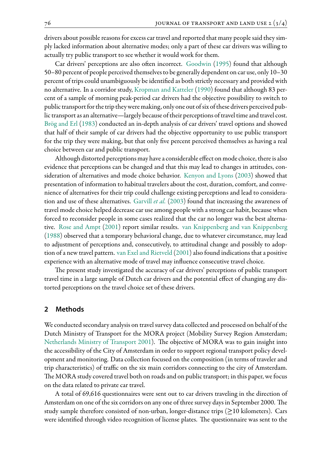drivers about possible reasons for e[xcess car travel and repo](#page-10-0)r[ted th](#page-10-0)at many people said they simply lacked information about alternative modes; only a part of these car drivers was willing to actually try public transport to see whether it would work for them.

Car drivers' perceptions are also often incorrect. Goodwin (1995) found that although [50–80 percent of pe](#page-9-3)ople perceived themselves to be generally dependent on car use, only 10–30 percent of trips could unambiguously be identiđed as both strictly necessary and provided with no alternative. In a corridor study, Kropman and Katteler (1990) found that although 83 percent of a sample of morning peak-period car drivers had the objective possibility to switch to public transport for the trip they were making, only one out of six of these drivers perceived public transport as an alternative—largely because of their perceptions of travel time and travel cost. Brög and Erl (1983) conducted an in-depth analysis [of car drivers' travel option](#page-9-0)s and showed that half of their sample of car drivers had the objective opportunity to use public transport for the trip they were making, but that only five percent perceived themselves as having a real choice between car and public tra[nsport.](#page-9-4)

Although distorted perceptions may have a considerable effect on mode choice, there is also evidence that perceptions can be changed and that this may lead to changes in attitudes, consider[ation of alternati](#page-10-1)v[es and](#page-10-1) mode choice behavior. Kenyon and Lyons [\(2003\) showed that](#page-10-2) [presen](#page-10-2)tation of information to habitual travelers about the cost, duration, comfort, and convenience of alternatives for their trip could challenge existing perceptions and lead to consideration and use of these alternatives. [Garvill](#page-10-3) *et al.* (2[003\) f](#page-10-3)ound that increasing the awareness of travel mode choice helped decrease car use among people with a strong car habit, because when forced to reconsider people in some cases realized that the car no longer was the best alternative. Rose and Ampt (2001) report similar results. van Knippenberg and van Knippenberg (1988) observed that a temporary behavioral change, due to whatever circumstance, may lead to adjustment of perceptions and, consecutively, to attitudinal change and possibly to adoption of a new travel pattern. van Exel and Rietveld (2001) also found indications that a positive experience with an alternative mode of travel may influence consecutive travel choice.

The present study investigated the accuracy of car drivers' perceptions of public transport travel time in a large sample of Dutch car drivers and the potential effect of changing any dis[torted perceptions on the travel choice set](#page-10-4) of these drivers.

#### **2 Methods**

We conducted secondary analysis on travel survey data collected and processed on behalf of the Dutch Ministry of Transport for the MORA project (Mobility Survey Region Amsterdam; Netherlands Ministry of Transport 2001). The objective of MORA was to gain insight into the accessibility of the City of Amsterdam in order to support regional transport policy development and monitoring. Data collection focused on the composition (in terms of traveler and trip characteristics) of traffic on the six main corridors connecting to the city of Amsterdam. The MORA study covered travel both on roads and on public transport; in this paper, we focus on the data related to private car travel.

A total of 69,616 questionnaires were sent out to car drivers traveling in the direction of Amsterdam on one of the six corridors on any one of three survey days in September 2000. The study sample therefore consisted of non-urban, longer-distance trips (*≥*10 kilometers). Cars were identified through video recognition of license plates. The questionnaire was sent to the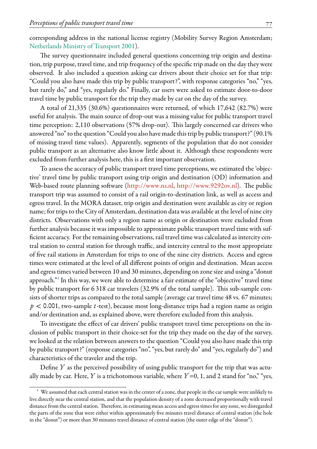corresponding address in the national license registry (Mobility Survey Region Amsterdam; Netherlands Ministry of Transport 2001).

The survey questionnaire included general questions concerning trip origin and destination, trip purpose, travel time, and trip frequency of the speciđc trip made on the day they were observed. It also included a question asking car drivers about their choice set for that trip: "Could you also have made this trip by public transport?", with response categories "no," "yes, but rarely do," and "yes, regularly do." Finally, car users were asked to estimate door-to-door travel time by public transport for the trip they made by car on the day of the survey.

A total of 21,335 (30.6%) questionnaires were returned, of which 17,642 (82.7%) were useful for analysis. The main source of drop-out was a missing value for public transport travel time perception: 2,110 observations (57% drop-out). ăis largely concerned car drivers who answered "no" to the question "Could [you also have made](http://www.ns.nl) [this trip by public transp](http://www.9292ov.nl)ort?" (90.1% of missing travel time values). Apparently, segments of the population that do not consider public transport as an alternative also know little about it. Although these respondents were excluded from further analysis here, this is a đrst important observation.

To assess the accuracy of public transport travel time perceptions, we estimated the 'objective' travel time by public transport using trip origin and destination (OD) information and Web-based route planning software (http://www.ns.nl, http://www.9292ov.nl). The public transport trip was assumed to consist of a rail origin-to-destination link, as well as access and egress travel. In the MORA dataset, trip origin and destination were available as city or region name; for trips to the City of Amsterdam, destination data was available at the level of nine city districts. Observations with only a region name as origin or destination were excluded from further an[al](#page-2-0)ysis because it was impossible to approximate public transport travel time with sufficient accuracy. For the remaining observations, rail travel time was calculated as intercity central station to central station for through traffic, and intercity central to the most appropriate of đve rail stations in Amsterdam for trips to one of the nine city districts. Access and egress times were estimated at the level of all different points of origin and destination. Mean access and egress times varied between 10 and 30 minutes, depending on zone size and using a "donut approach." In this way, we were able to determine a fair estimate of the "objective" travel time by public transport for 6 318 car travelers (32.9% of the total sample). This sub-sample consists of shorter trips as compared to the total sample (average car travel time 48 vs. 67 minutes; *p <* 0.001, two-sample *t*-test), because most long-distance trips had a region name as origin and/or destination and, as explained above, were therefore excluded from this analysis.

<span id="page-2-0"></span>To investigate the effect of car drivers' public transport travel time perceptions on the inclusion of public transport in their choice-set for the trip they made on the day of the survey, we looked at the relation between answers to the question "Could you also have made this trip by public transport?" (response categories "no", "yes, but rarely do" and "yes, regularly do") and characteristics of the traveler and the trip.

Deđne *Y* as the perceived possibility of using public transport for the trip that was actually made by car. Here,  $Y$  is a trichotomous variable, where  $Y=0$ , 1, and 2 stand for "no," "yes,

 $\frac{1}{2}$  We assumed that each central station was in the center of a zone, that people in the car sample were unlikely to live directly near the central station, and that the population density of a zone decreased proportionally with travel distance from the central station. Therefore, in estimating mean access and egress times for any zone, we disregarded the parts of the zone that were either within approximately đve minutes travel distance of central station (the hole in the "donut") or more than 30 minutes travel distance of central station (the outer edge of the "donut").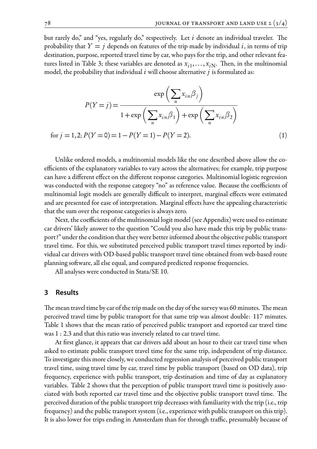but rarely do," and "yes, regularly do," respectively. Let  $i$  denote an individual traveler. The probability that  $Y = j$  depends on features of the trip made by individual *i*, in terms of trip destination, purpose, reported travel time by car, who pays for the trip, and other relevant features listed in Table 3; these variables are denoted as  $x_{i1},...,x_{iN}$ . Then, in the multinomial model, the probability that individual *i* will choose alternative *j* is formulated as:

$$
P(Y = j) = \frac{\exp\left(\sum_{n} x_{in} \beta_{j}\right)}{1 + \exp\left(\sum_{n} x_{in} \beta_{1}\right) + \exp\left(\sum_{n} x_{in} \beta_{2}\right)}
$$
  
for  $j = 1, 2; P(Y = 0) = 1 - P(Y = 1) - P(Y = 2).$  (1)

Unlike ordered models, a multinomial models like the one described above allow the coefficients of the explanatory variables to vary across the alternatives; for example, trip purpose can have a different effect on the different response categories. Multinomial logistic regression was conducted with the response category "no" as reference value. Because the coefficients of multinomial logit models are generally difficult to interpret, marginal effects were estimated and are presented for ease of interpretation. Marginal effects have the appealing characteristic that the sum over the response categories is always zero.

Next, the coefficients of the multinomial logit model (see Appendix) were used to estimate car drivers' likely answer to the question "Could you also have made this trip by public transport?" under the condition that they were better informed about the objective public transport travel time. For this, we substituted perceived public transport travel times reported by individual car drivers with OD-based public transport travel time obtained from web-based route planning software, all else equal, and compared predicted response frequencies.

All analyses were conducted in Stata/SE 10.

#### **3 Results**

The mean travel time by car of the trip made on the day of the survey was 60 minutes. The mean perceived travel time by public transport for that same trip was almost double: 117 minutes. Table 1 shows that the mean ratio of perceived public transport and reported car travel time was 1 : 2.3 and that this ratio was inversely related to car travel time.

At first glance, it appears that car drivers add about an hour to their car travel time when asked to estimate public transport travel time for the same trip, independent of trip distance. To investigate this more closely, we conducted regression analysis of perceived public transport travel time, using travel time by car, travel time by public transport (based on OD data), trip frequency, experience with public transport, trip destination and time of day as explanatory variables. Table 2 shows that the perception of public transport travel time is positively associated with both reported car travel time and the objective public transport travel time. The perceived duration of the public transport trip decreases with familiarity with the trip (i.e., trip frequency) and the public transport system (i.e., experience with public transport on this trip). It is also lower for trips ending in Amsterdam than for through traffic, presumably because of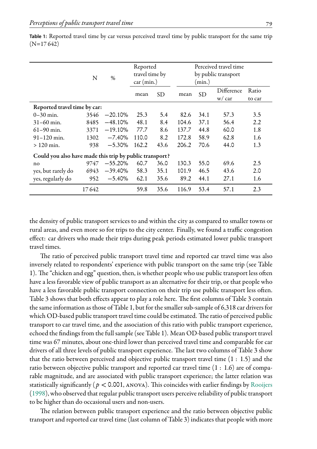**Table 1:** Reported travel time by car versus perceived travel time by public transport for the same trip  $(N=17642)$ 

|                                                         | N     | $\%$       | Reported<br>travel time by<br>car (min.)<br><b>SD</b><br>mean |      |       | (min.) | Perceived travel time<br>by public transport |                 |
|---------------------------------------------------------|-------|------------|---------------------------------------------------------------|------|-------|--------|----------------------------------------------|-----------------|
|                                                         |       |            |                                                               |      | mean  | SD     | Difference<br>w/car                          | Ratio<br>to car |
| Reported travel time by car:                            |       |            |                                                               |      |       |        |                                              |                 |
| $0-30$ min.                                             | 3546  | $-20.10%$  | 25.3                                                          | 5.4  | 82.6  | 34.1   | 57.3                                         | 3.5             |
| $31-60$ min.                                            | 8485  | $-48.10\%$ | 48.1                                                          | 8.4  | 104.6 | 37.1   | 56.4                                         | 2.2             |
| $61 - 90$ min.                                          | 3371  | $-19.10\%$ | 77.7                                                          | 8.6  | 137.7 | 44.8   | 60.0                                         | 1.8             |
| $91 - 120$ min.                                         | 1302  | $-7.40%$   | 110.0                                                         | 8.2  | 172.8 | 58.9   | 62.8                                         | 1.6             |
| $>120$ min.                                             | 938   | $-5.30%$   | 162.2                                                         | 43.6 | 206.2 | 70.6   | 44.0                                         | 1.3             |
| Could you also have made this trip by public transport? |       |            |                                                               |      |       |        |                                              |                 |
| no                                                      | 9747  | $-55.20%$  | 60.7                                                          | 36.0 | 130.3 | 55.0   | 69.6                                         | 2.5             |
| yes, but rarely do                                      | 6943  | $-39.40\%$ | 58.3                                                          | 35.1 | 101.9 | 46.5   | 43.6                                         | 2.0             |
| yes, regularly do                                       | 952   | $-5.40%$   | 62.1                                                          | 35.6 | 89.2  | 44.1   | 27.1                                         | 1.6             |
|                                                         | 17642 |            | 59.8                                                          | 35.6 | 116.9 | 53.4   | 57.1                                         | 2.3             |

the density of public transport services to and within the city as compared to smaller towns or rural areas, and even more so for trips to the city center. Finally, we found a traffic congestion effect: car drivers who made their trips during peak periods estimated lower public transport travel times.

The ratio of perceived public transport travel time and reported car travel time was also inversely related to respondents' experience with public transport on the same trip (see Table 1). The "chicken and egg" question, then, is whether people who use public transport less often have a less favorable view of public transport as an alternative for their trip, or that people who have a less favorable public transport connection on their trip use public transport less often. Table 3 shows that both effects appear to play a role here. The first columns of Table 3 contain the same information as those of Table 1, but for the smaller sub-sample of 6,318 car drivers for which OD-based public transport travel time could be estimated. The ratio of perceived public transport to car travel time, and the association of this ratio with public transport experience, echoed the đndings from the full sample (see Table 1). Mean OD-based public transp[ort travel](#page-10-5) [time w](#page-10-5)as 67 minutes, about one-third lower than perceived travel time and comparable for car drivers of all three levels of public transport experience. The last two columns of Table 3 show that the ratio between perceived and objective public transport travel time (1 : 1.5) and the ratio between objective public transport and reported car travel time (1 : 1.6) are of comparable magnitude, and are associated with public transport experience; the latter relation was statistically significantly ( $p < 0.001$ ,  $ANOVA$ ). This coincides with earlier findings by Rooijers (1998), who observed that regular public transport users perceive reliability of public transport to be higher than do occasional users and non-users.

The relation between public transport experience and the ratio between objective public transport and reported car travel time (last column of Table 3) indicates that people with more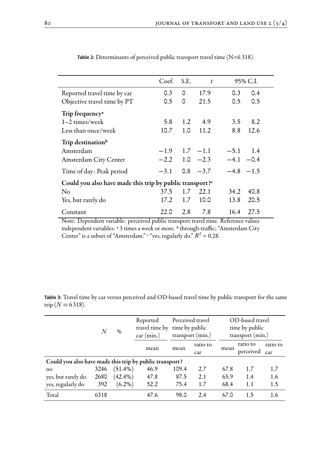|                                                                      | Coef. S.E.<br>95% C.I.<br>t |             |             |               |  |  |  |  |  |
|----------------------------------------------------------------------|-----------------------------|-------------|-------------|---------------|--|--|--|--|--|
| Reported travel time by car                                          | 0.3                         | 0           | 17.9        | 0.3<br>0.4    |  |  |  |  |  |
| Objective travel time by PT                                          | 0.5                         | 0           | 21.5        | 0.5<br>0.5    |  |  |  |  |  |
| Trip frequency <sup>a</sup>                                          |                             |             |             |               |  |  |  |  |  |
| $1-2$ times/week                                                     | 5.8                         | 1.2         | 4.9         | 8.2<br>3.5    |  |  |  |  |  |
| Less than once/week                                                  | 10.7                        | 1.0         | 11.2        | 8.8<br>12.6   |  |  |  |  |  |
| Trip destination <sup>b</sup>                                        |                             |             |             |               |  |  |  |  |  |
| Amsterdam                                                            | $-1.9$                      | $1.7 - 1.1$ |             | $-5.1$<br>1.4 |  |  |  |  |  |
| <b>Amsterdam City Center</b>                                         | $-2.2$                      | 1.0         | $-2.3$      | $-4.1 -0.4$   |  |  |  |  |  |
| Time of day: Peak period                                             | $-3.1$                      |             | $0.8 - 3.7$ | $-4.8$ $-1.5$ |  |  |  |  |  |
| Could you also have made this trip by public transport? <sup>c</sup> |                             |             |             |               |  |  |  |  |  |
| No                                                                   | 37.5                        | 1.7         | 22.1        | 40.8<br>34.2  |  |  |  |  |  |
| Yes, but rarely do                                                   | 17.2                        | 1.7         | 10.0        | 13.8<br>20.5  |  |  |  |  |  |
| Constant                                                             | 22.0                        | 2.8         | 7.8         | 27.5<br>16.4  |  |  |  |  |  |

Table 2: Determinants of perceived public transport travel time (N=6 318).

Note: Dependent variable: perceived public transport travel time. Reference values independent variables: <sup>a</sup> 3 times a week or more. <sup>b</sup> through-traffic; "Amsterdam City Center" is a subset of "Amsterdam."  $\epsilon$  "yes, regularly do."  $R^2 = 0.28$ .

|                                                         | $\boldsymbol{N}$ | $\%$       | Reported<br>car (min.) | Perceived travel<br>travel time by time by public<br>transport (min.) |                 | OD-based travel<br>time by public<br>transport (min.) |                       |                 |
|---------------------------------------------------------|------------------|------------|------------------------|-----------------------------------------------------------------------|-----------------|-------------------------------------------------------|-----------------------|-----------------|
|                                                         |                  |            | mean                   | mean                                                                  | ratio to<br>car | mean                                                  | ratio to<br>perceived | ratio to<br>car |
|                                                         |                  |            |                        |                                                                       |                 |                                                       |                       |                 |
| Could you also have made this trip by public transport? |                  |            |                        |                                                                       |                 |                                                       |                       |                 |
| no                                                      | 3246             | $(51.4\%)$ | 46.9                   | 109.4                                                                 | 2.7             | 67.8                                                  | 1.7                   | 1.7             |
| yes, but rarely do                                      | 2680             | $(42.4\%)$ | 47.8                   | 87.5                                                                  | 2.1             | 65.9                                                  | 1.4                   | 1.6             |
| yes, regularly do                                       | 392              | $(6.2\%)$  | 52.2                   | 75.4                                                                  | 1.7             | 68.4                                                  | 1.1                   | 1.5             |
| Total                                                   | 6318             |            | 47.6                   | 98.0                                                                  | 24              | 67.0                                                  | 1.5                   | 1.6             |

**Table 3:** Travel time by car versus perceived and OD-based travel time by public transport for the same trip ( $N = 6318$ ).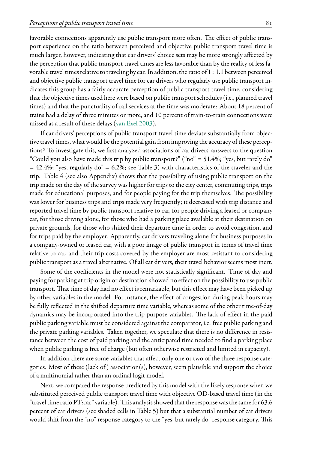favorable connections apparently use public transport more often. The effect of public transport experience on the ratio between perceived and objective public transport travel time is much larger, however, indicating that car drivers' choice sets may be more strongly affected by the perception that public transport travel times are less favorable than by the reality of less favorable travel times relative to tra[veling by car. In](#page-10-6) addition, the ratio of 1 : 1.1 between perceived and objective public transport travel time for car drivers who regularly use public transport indicates this group has a fairly accurate perception of public transport travel time, considering that the objective times used here were based on public transport schedules (i.e., planned travel times) and that the punctuality of rail services at the time was moderate: About 18 percent of trains had a delay of three minutes or more, and 10 percent of train-to-train connections were missed as a result of these delays (van Exel 2003).

If car drivers' perceptions of public transport travel time deviate substantially from objective travel times, what would be the potential gain from improving the accuracy of these perceptions? To investigate this, we first analyzed associations of car drivers' answers to the question "Could you also have made this trip by public transport?" ("no" =  $51.4\%$ ; "yes, but rarely do"  $= 42.4\%$ ; "yes, regularly do" = 6.2%; see Table 3) with characteristics of the traveler and the trip. Table 4 (see also Appendix) shows that the possibility of using public transport on the trip made on the day of the survey was higher for trips to the city center, commuting trips, trips made for educational purposes, and for people paying for the trip themselves. The possibility was lower for business trips and trips made very frequently; it decreased with trip distance and reported travel time by public transport relative to car, for people driving a leased or company car, for those driving alone, for those who had a parking place available at their destination on private grounds, for those who shifted their departure time in order to avoid congestion, and for trips paid by the employer. Apparently, car drivers traveling alone for business purposes in a company-owned or leased car, with a poor image of public transport in terms of travel time relative to car, and their trip costs covered by the employer are most resistant to considering public transport as a travel alternative. Of all car drivers, their travel behavior seems most inert.

Some of the coefficients in the model were not statistically significant. Time of day and paying for parking at trip origin or destination showed no effect on the possibility to use public transport. That time of day had no effect is remarkable, but this effect may have been picked up by other variables in the model. For instance, the effect of congestion during peak hours may be fully reflected in the shifted departure time variable, whereas some of the other time-of-day dynamics may be incorporated into the trip purpose variables. The lack of effect in the paid public parking variable must be considered against the comparator, i.e. free public parking and the private parking variables. Taken together, we speculate that there is no difference in resistance between the cost of paid parking and the anticipated time needed to đnd a parking place when public parking is free of charge (but often otherwise restricted and limited in capacity).

In addition there are some variables that affect only one or two of the three response categories. Most of these (lack of) association(s), however, seem plausible and support the choice of a multinomial rather than an ordinal logit model.

Next, we compared the response predicted by this model with the likely response when we substituted perceived public transport travel time with objective OD-based travel time (in the "travel time ratio PT:car" variable). This analysis showed that the response was the same for  $63.6$ percent of car drivers (see shaded cells in Table 5) but that a substantial number of car drivers would shift from the "no" response category to the "yes, but rarely do" response category. This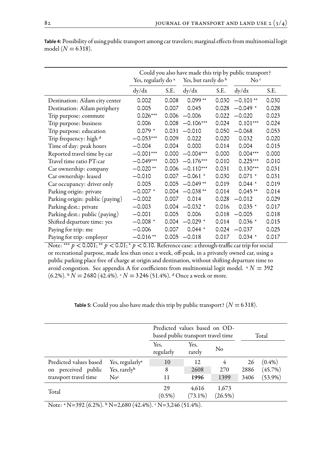|                                            | Yes, regularly do <sup>a</sup> |       | Could you also have made this trip by public transport?<br>Yes, but rarely do b |       | $\mathrm{No}$ <sup>c</sup> |       |
|--------------------------------------------|--------------------------------|-------|---------------------------------------------------------------------------------|-------|----------------------------|-------|
|                                            | dy/dx                          | S.E.  | dy/dx                                                                           | S.E.  | dy/dx                      | S.E.  |
| Destination: A'dam city center             | 0.002                          | 0.008 | $0.099**$                                                                       | 0.030 | $-0.101**$                 | 0.030 |
| Destination: A'dam periphery               | 0.005                          | 0.007 | 0.045                                                                           | 0.028 | $-0.049*$                  | 0.028 |
| Trip purpose: commute                      | $0.026***$                     | 0.006 | $-0.006$                                                                        | 0.022 | $-0.020$                   | 0.023 |
| Trip purpose: business                     | 0.006                          | 0.008 | $-0.106***$                                                                     | 0.024 | $0.101***$                 | 0.024 |
| Trip purpose: education                    | $0.079$ *                      | 0.031 | $-0.010$                                                                        | 0.050 | $-0.068$                   | 0.053 |
| Trip frequency: high d                     | $-0.053***$                    | 0.009 | 0.022                                                                           | 0.020 | 0.032                      | 0.020 |
| Time of day: peak hours                    | $-0.004$                       | 0.004 | 0.000                                                                           | 0.014 | 0.004                      | 0.015 |
| Reported travel time by car                | $-0.001***$                    | 0.000 | $-0.004***$                                                                     | 0.000 | $0.004***$                 | 0.000 |
| $-0.049***$<br>Travel time ratio PT:car    |                                | 0.003 | $-0.176***$                                                                     | 0.010 | $0.225***$                 | 0.010 |
| Car ownership: company                     | $-0.020**$                     | 0.006 | $-0.110***$                                                                     | 0.031 | $0.130***$                 | 0.031 |
| Car ownership: leased                      | $-0.010$                       | 0.007 | $-0.061$ *                                                                      | 0.030 | $0.071$ *                  | 0.031 |
| Car occupancy: driver only                 | 0.005                          | 0.005 | $-0.049**$                                                                      | 0.019 | $0.044$ *                  | 0.019 |
| Parking origin: private                    | $-0.007*$                      | 0.004 | $-0.038**$                                                                      | 0.014 | $0.045**$                  | 0.014 |
| Parking origin: public (paying)            | $-0.002$                       | 0.007 | 0.014                                                                           | 0.028 | $-0.012$                   | 0.029 |
| $-0.003$<br>Parking dest.: private         |                                | 0.004 | $-0.032$ *                                                                      | 0.016 | $0.035$ *                  | 0.017 |
| $-0.001$<br>Parking dest.: public (paying) |                                | 0.005 | 0.006                                                                           | 0.018 | $-0.005$                   | 0.018 |
| Shifted departure time: yes                | $-0.008*$                      | 0.004 | $-0.029$ *                                                                      | 0.014 | $0.036 *$                  | 0.015 |
| Paying for trip: me                        | $-0.006$                       | 0.007 | $0.044$ *                                                                       | 0.024 | $-0.037$                   | 0.025 |
| Paying for trip: employer                  | $-0.016**$                     | 0.005 | $-0.018$                                                                        | 0.017 | $0.034$ *                  | 0.017 |

**Table 4:** Possibility of using public transport among car travelers; marginal effects from multinomial logit model ( $N = 6318$ ).

Note: \*\*\*  $p < 0.001$ ; \*\*  $p < 0.01$ ; \*  $p < 0.10$ . Reference case: a through-traffic car trip for social or recreational purpose, made less than once a week, off-peak, in a privately owned car, using a public parking place free of charge at origin and destination, without shifting departure time to avoid congestion. See appendix A for coefficients from multinomial logit model.  $^4$   $N = 392$ (6.2%).  $\frac{1}{2}$  N = 2680 (42.4%).  $\frac{1}{2}$  N = 3 246 (51.4%). <sup>d</sup> Once a week or more.

| Table 5: Could you also have made this trip by public transport? ( $N = 6318$ ). |  |
|----------------------------------------------------------------------------------|--|
|----------------------------------------------------------------------------------|--|

|                                                       |                   |                     | based public transport travel time | Total |            |  |
|-------------------------------------------------------|-------------------|---------------------|------------------------------------|-------|------------|--|
|                                                       | Yes,<br>regularly | Yes,<br>rarely      | No                                 |       |            |  |
| Predicted values based<br>Yes, regularly <sup>a</sup> | 10                | 12                  | 4                                  | 26    | $(0.4\%)$  |  |
| on perceived public<br>Yes, rarely <sup>b</sup>       | 8                 | 2608                | 270                                | 2886  | (45.7%)    |  |
| transport travel time<br>$N_0^c$                      | 11                | 1996                | 1399                               | 3406  | $(53.9\%)$ |  |
| Total                                                 | 29<br>$(0.5\%)$   | 4.616<br>$(73.1\%)$ | 1,673<br>$(26.5\%)$                |       |            |  |

Note:  $N=392$  (6.2%).  $N=2,680$  (42.4%).  $N=3,246$  (51.4%).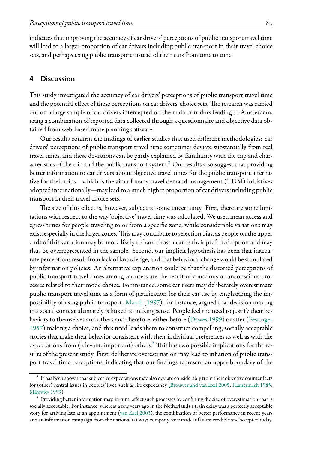indicates that improving the accuracy of car drivers' perceptions of public transport travel time will lead to a larger proportion of car drivers including public transport in their travel choice sets, and perhaps using public transport instead of their cars from time to time.

## **4 Discussion**

This study investigated the accuracy of car drivers' perceptions of public transport travel time and the potential effect of these perceptions on car drivers' choice sets. The research was carried out on a large sample of car drivers intercepted on th[e](#page-8-0) main corridors leading to Amsterdam, using a combination of reported data collected through a questionnaire and objective data obtained from web-based route planning software.

Our results conđrm the đndings of earlier studies that used different methodologies: car drivers' perceptions of public transport travel time sometimes deviate substantially from real travel times, and these deviations can be partly explained by familiarity with the trip and characteristics of the trip and the public transport system. $^2$  Our results also suggest that providing better information to car drivers about objective travel times for the public transport alternative for their trips—which is the aim of many travel demand management (TDM) initiatives adopted internationally—may lead to a much higher proportion of car drivers including public transport in their travel choice sets.

The size of this effect is, however, subject to some uncertainty. First, there are some limitations with respect to the way 'objective' travel time was calculated. We used mean access and egress times for people traveling to or from a speciđc zone, while considerable variations may exist, especially in the larger zones. This may contribute to selection bias, as people on the upper ends of this variation may be more likely to have chosen car as their preferred option and may thus be overrepresented in the sampl[e. Second, ou](#page-10-7)r implicit hypothesis has been that inaccurate perceptions result from lack of knowledge, and that behavioral change would be stimulated by information policies. An alternative explanation could be [that the disto](#page-9-5)rted perc[eptions of](#page-9-6) [publi](#page-9-6)c transport travel times among car users are the result of conscious or unconscious processes related to their mode choice. For instance, some car users may deliberately overestimate public transport travel time as a form of justiđ[ca](#page-8-1)tion for their car use by emphasizing the impossibility of using public transport. March (1997), for instance, argued that decision making in a social context ultimately is linked to making sense. People feel the need to justify their behaviors to themselves and others and therefore, either before (Dawes 1999) or after (Festinger 1957) making a choice, and this need leads them to construct compelling, socially acceptable [stories that m](#page-10-8)ake their behavior consistent with theiri[ndividual preferences as](#page-9-7) [well as with the](#page-9-8) expectations from (relevant, important) others.<sup>3</sup> This has two possible implications for the results of the present study. First, deliberate overestimation may lead to inflation of public transport travel time perceptions, indic[ating that ou](#page-10-6)r đndings represent an upper boundary of the

<span id="page-8-1"></span><span id="page-8-0"></span><sup>&</sup>lt;sup>2</sup> It has been shown that subjective expectations may also deviate considerably from their objective counter facts for (other) central issues in peoples' lives, such as life expectancy (Brouwer and van Exel 2005; Hamermesh 1985; Mirowky 1999).

<sup>&</sup>lt;sup>3</sup> Providing better information may, in turn, affect such processes by confining the size of overestimation that is socially acceptable. For instance, whereas a few years ago in the Netherlands a train delay was a perfectly acceptable story for arriving late at an appointment (van Exel 2003), the combination of better performance in recent years and an information campaign from the national railways company have made it far less credible and accepted today.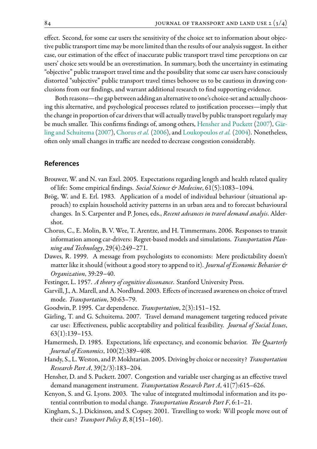effect. Second, for some car users the sensitivity of the choice set to information about objective public transport time may be more limited than the results of our analysis suggest. In either case, our estimation of the effect of inaccurate public transport travel time perceptions on car users' choice sets would be an overestimation. In summary, both the uncertainty in estimating "objective" public transport travel time and the possibility [that some car users hav](#page-9-9)e [consc](#page-9-9)i[ously](#page-9-10) [distorted "subjectiv](#page-9-10)e[" pub](#page-9-10)li[c transport tr](#page-9-11)a[vel tim](#page-9-11)es b[ehoove us to be cau](#page-10-9)t[ious in](#page-10-9) drawing conclusions from our đndings, and warrant additional research to đnd supporting evidence.

<span id="page-9-7"></span>Both reasons—the gap between adding an alternative to one's choice-set and actually choosing this alternative, and psychological processes related to justiđcation processes—imply that the change in proportion of car drivers that will actually travel by public transport regularly may be much smaller. This confirms findings of, among others, Hensher and Puckett (2007), Gärling and Schuitema(2007), Chorus *et al.* (2006), and Loukopoulos *et al.* (2004). Nonetheless, often only small changes in traffic are needed to decrease congestion considerably.

#### <span id="page-9-3"></span>**References**

- <span id="page-9-11"></span>Brouwer, W. and N. van Exel. 2005. Expectations regarding length and health related quality of life: Some empirical đndings. *Social Science & Medecine*, 61(5):1083–1094.
- <span id="page-9-5"></span>Brög, W. and E. Erl. 1983. Application of a model of individual behaviour (situational approach) to explain household activity patterns in an urban area and to forecast behavioural changes. In S. Carpenter and P. Jones, eds., *Recent advances in travel demand analyis*. Aldershot.
- <span id="page-9-6"></span><span id="page-9-4"></span>Chorus, C., E. Molin, B. V. Wee, T. Arentze, and H. Timmermans. 2006. Responses to transit information among car-drivers: Regret-based models and simulations. *Transportation Planning and Technology*, 29(4):249–271.
- <span id="page-9-10"></span>Dawes, R. 1999. A message from psychologists to economists: Mere predictability doesn't matter like it should (without a good story to append to it). *Journal of Economic Behavior & Organization*, 39:29–40.
- <span id="page-9-8"></span>Festinger, L. 1957. *A theory of cognitive dissonance*. Stanford University Press.
- Garvill, J., A. Marell, and A. Nordlund. 2003. Effects of increased awareness on choice of travel mode. *Transportation*, 30:63–79.
- <span id="page-9-2"></span>Goodwin, P. 1995. Car dependence. *Transportation*, 2(3):151–152.
- <span id="page-9-9"></span>Gärling, T. and G. Schuitema. 2007. Travel demand management targeting reduced private car use: Effectiveness, public acceptability and political feasibility. *Journal of Social Issues*, 63(1):139–153.
- <span id="page-9-0"></span>Hamermesh, D. 1985. Expectations, life expectancy, and economic behavior. *The Quarterly Journal of Economics*, 100(2):389–408.
- <span id="page-9-1"></span>Handy, S., L.Weston, and P. Mokhtarian. 2005. Driving by choice or necessity? *Transportation Research Part A*, 39(2/3):183–204.
- Hensher, D. and S. Puckett. 2007. Congestion and variable user charging as an effective travel demand management instrument. *Transportation Research Part A*, 41(7):615–626.
- Kenyon, S. and G. Lyons. 2003. The value of integrated multimodal information and its potential contribution to modal change. *Transportation Research Part F*, 6:1–21.
- Kingham, S., J. Dickinson, and S. Copsey. 2001. Travelling to work: Will people move out of their cars? *Transport Policy B*, 8(151–160).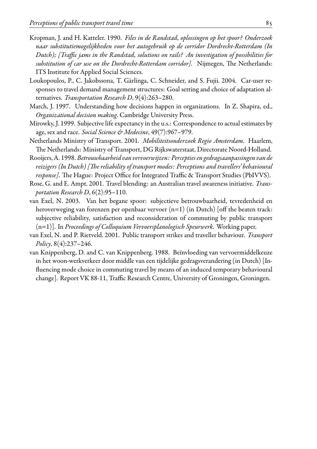- <span id="page-10-0"></span>Kropman, J. and H. Katteler. 1990. *Files in de Randstad, oplossingen op het spoor? Onderzoek naar substitutiemogelijkheden voor het autogebruik op de corridor Dordrecht-Rotterdam (In Dutch); [Traffic jams in the Randstad, solutions on rails? An investigation of possibilities for substitution of car use on the Dordrecht-Rotterdam corridor*. Nijmegen, The Netherlands: ITS Institute for Applied Social Sciences.
- <span id="page-10-9"></span>Loukopoulos, P., C. Jakobssona, T. Gärlinga, C. Schneider, and S. Fujii. 2004. Car-user responses to travel demand management structures: Goal setting and choice of adaptation alternatives. *Transportation Research D*, 9(4):263–280.
- <span id="page-10-7"></span>March, J. 1997. Understanding how decisions happen in organizations. In Z. Shapira, ed., *Organizational decision making*. Cambridge University Press.
- <span id="page-10-8"></span>Mirowky, J. 1999. Subjective life expectancy in the u.s.: Correspondence to actual estimates by age, sex and race. *Social Science & Medecine*, 49(7):967–979.
- <span id="page-10-4"></span>Netherlands Ministry of Transport. 2001. *Mobiliteitsonderzoek Regio Amsterdam*. Haarlem, ăe Netherlands: Ministry of Transport, DG Rijkswaterstaat, Directorate Noord-Holland.
- <span id="page-10-5"></span>Rooijers, A. 1998. *Betrouwbaarheid van vervoerwijzen: Percepties en gedragsaanpassingen van de* reizigers (In Dutch) [The reliability of transport modes: Perceptions and travellers' behavioural *response]*. The Hague: Project Office for Integrated Traffic & Transport Studies (PbIVVS).
- <span id="page-10-1"></span>Rose, G. and E. Ampt. 2001. Travel blending: an Australian travel awareness initiative. *Transportation Research D*, 6(2):95–110.
- <span id="page-10-6"></span>van Exel, N. 2003. Van het begane spoor: subjectieve betrouwbaarheid, tevredenheid en heroverweging van forenzen per openbaar vervoer (n=1) (in Dutch) [off the beaten track: subjective reliability, satisfaction and reconsideration of commuting by public transport (n=1)]. In *Proceedings of Colloquium Vervoersplanologisch Speurwerk*. Working paper.
- <span id="page-10-3"></span>van Exel, N. and P. Rietveld. 2001. Public transport strikes and traveller behaviour. *Transport Policy*, 8(4):237–246.
- <span id="page-10-2"></span>van Knippenberg, D. and C. van Knippenberg. 1988. Beïnvloeding van vervoermiddelkeuze in het woon-werkverkeer door middle van een tijdelijke gedragsverandering (in Dutch) [Influencing mode choice in commuting travel by means of an induced temporary behavioural change]. Report VK 88-11, Traffic Research Centre, University of Groningen, Groningen.